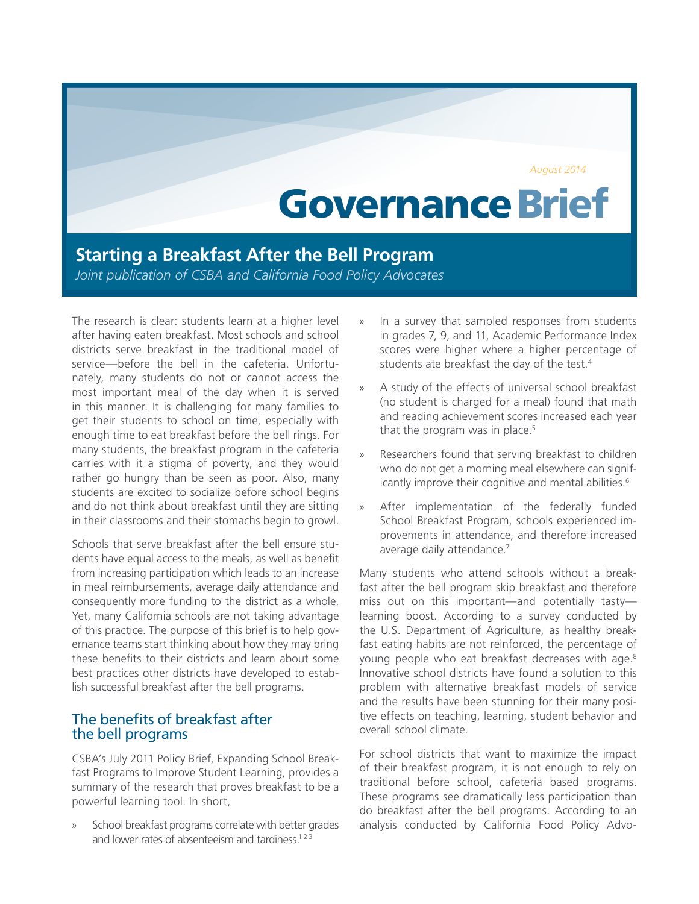*August 2014*

# Governance Brief

## **Starting a Breakfast After the Bell Program**

*Joint publication of CSBA and California Food Policy Advocates*

The research is clear: students learn at a higher level after having eaten breakfast. Most schools and school districts serve breakfast in the traditional model of service—before the bell in the cafeteria. Unfortunately, many students do not or cannot access the most important meal of the day when it is served in this manner. It is challenging for many families to get their students to school on time, especially with enough time to eat breakfast before the bell rings. For many students, the breakfast program in the cafeteria carries with it a stigma of poverty, and they would rather go hungry than be seen as poor. Also, many students are excited to socialize before school begins and do not think about breakfast until they are sitting in their classrooms and their stomachs begin to growl.

Schools that serve breakfast after the bell ensure students have equal access to the meals, as well as benefit from increasing participation which leads to an increase in meal reimbursements, average daily attendance and consequently more funding to the district as a whole. Yet, many California schools are not taking advantage of this practice. The purpose of this brief is to help governance teams start thinking about how they may bring these benefits to their districts and learn about some best practices other districts have developed to establish successful breakfast after the bell programs.

## The benefits of breakfast after the bell programs

CSBA's July 2011 Policy Brief, Expanding School Breakfast Programs to Improve Student Learning, provides a summary of the research that proves breakfast to be a powerful learning tool. In short,

» School breakfast programs correlate with better grades and lower rates of absenteeism and tardiness.<sup>1[2](#page-5-1)[3](#page-5-2)</sup>

- In a survey that sampled responses from students in grades 7, 9, and 11, Academic Performance Index scores were higher where a higher percentage of students ate breakfast the day of the test.<sup>4</sup>
- A study of the effects of universal school breakfast (no student is charged for a meal) found that math and reading achievement scores increased each year that the program was in place.<sup>5</sup>
- » Researchers found that serving breakfast to children who do not get a morning meal elsewhere can significantly improve their cognitive and mental abilities.<sup>6</sup>
- After implementation of the federally funded School Breakfast Program, schools experienced improvements in attendance, and therefore increased average daily attendance.<sup>7</sup>

Many students who attend schools without a breakfast after the bell program skip breakfast and therefore miss out on this important—and potentially tasty learning boost. According to a survey conducted by the U.S. Department of Agriculture, as healthy breakfast eating habits are not reinforced, the percentage of young people who eat breakfast decreases with age.<sup>[8](#page-5-7)</sup> Innovative school districts have found a solution to this problem with alternative breakfast models of service and the results have been stunning for their many positive effects on teaching, learning, student behavior and overall school climate.

For school districts that want to maximize the impact of their breakfast program, it is not enough to rely on traditional before school, cafeteria based programs. These programs see dramatically less participation than do breakfast after the bell programs. According to an analysis conducted by California Food Policy Advo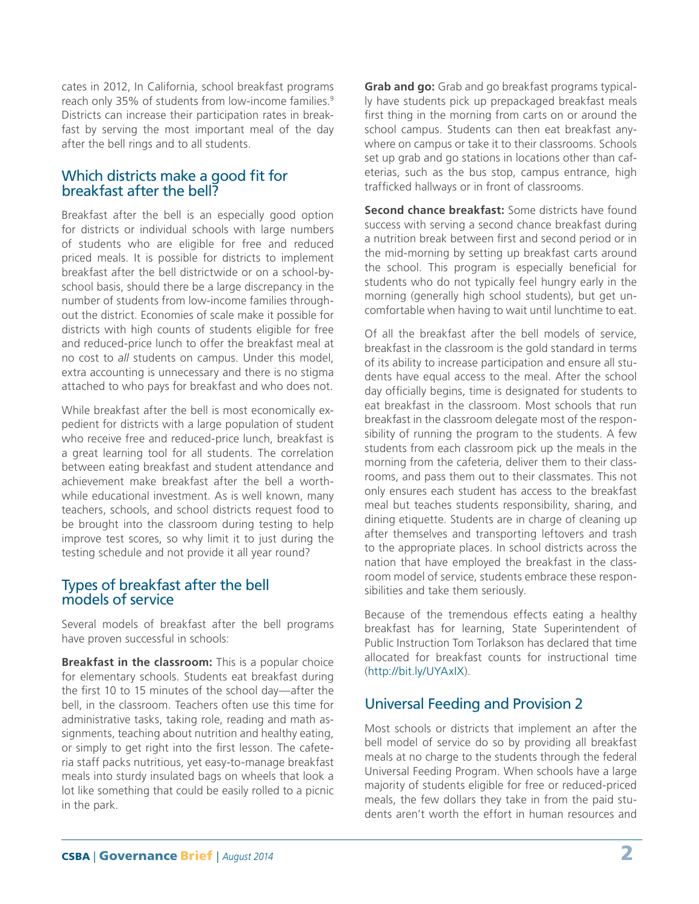cates in 2012, In California, school breakfast programs reach only 35% of students from low-income families.<sup>9</sup> Districts can increase their participation rates in breakfast by serving the most important meal of the day after the bell rings and to all students.

## Which districts make a good fit for breakfast after the bell?

Breakfast after the bell is an especially good option for districts or individual schools with large numbers of students who are eligible for free and reduced priced meals. It is possible for districts to implement breakfast after the bell districtwide or on a school-byschool basis, should there be a large discrepancy in the number of students from low-income families throughout the district. Economies of scale make it possible for districts with high counts of students eligible for free and reduced-price lunch to offer the breakfast meal at no cost to *all* students on campus. Under this model, extra accounting is unnecessary and there is no stigma attached to who pays for breakfast and who does not.

While breakfast after the bell is most economically expedient for districts with a large population of student who receive free and reduced-price lunch, breakfast is a great learning tool for all students. The correlation between eating breakfast and student attendance and achievement make breakfast after the bell a worthwhile educational investment. As is well known, many teachers, schools, and school districts request food to be brought into the classroom during testing to help improve test scores, so why limit it to just during the testing schedule and not provide it all year round?

#### Types of breakfast after the bell models of service

Several models of breakfast after the bell programs have proven successful in schools:

**Breakfast in the classroom:** This is a popular choice for elementary schools. Students eat breakfast during the first 10 to 15 minutes of the school day—after the bell, in the classroom. Teachers often use this time for administrative tasks, taking role, reading and math assignments, teaching about nutrition and healthy eating, or simply to get right into the first lesson. The cafeteria staff packs nutritious, yet easy-to-manage breakfast meals into sturdy insulated bags on wheels that look a lot like something that could be easily rolled to a picnic in the park.

**Grab and go:** Grab and go breakfast programs typically have students pick up prepackaged breakfast meals first thing in the morning from carts on or around the school campus. Students can then eat breakfast anywhere on campus or take it to their classrooms. Schools set up grab and go stations in locations other than cafeterias, such as the bus stop, campus entrance, high trafficked hallways or in front of classrooms.

**Second chance breakfast:** Some districts have found success with serving a second chance breakfast during a nutrition break between first and second period or in the mid-morning by setting up breakfast carts around the school. This program is especially beneficial for students who do not typically feel hungry early in the morning (generally high school students), but get uncomfortable when having to wait until lunchtime to eat.

Of all the breakfast after the bell models of service, breakfast in the classroom is the gold standard in terms of its ability to increase participation and ensure all students have equal access to the meal. After the school day officially begins, time is designated for students to eat breakfast in the classroom. Most schools that run breakfast in the classroom delegate most of the responsibility of running the program to the students. A few students from each classroom pick up the meals in the morning from the cafeteria, deliver them to their classrooms, and pass them out to their classmates. This not only ensures each student has access to the breakfast meal but teaches students responsibility, sharing, and dining etiquette. Students are in charge of cleaning up after themselves and transporting leftovers and trash to the appropriate places. In school districts across the nation that have employed the breakfast in the classroom model of service, students embrace these responsibilities and take them seriously.

Because of the tremendous effects eating a healthy breakfast has for learning, State Superintendent of Public Instruction Tom Torlakson has declared that time allocated for breakfast counts for instructional time (http://bit.ly/UYAxIX).

## Universal Feeding and Provision 2

Most schools or districts that implement an after the bell model of service do so by providing all breakfast meals at no charge to the students through the federal Universal Feeding Program. When schools have a large majority of students eligible for free or reduced-priced meals, the few dollars they take in from the paid students aren't worth the effort in human resources and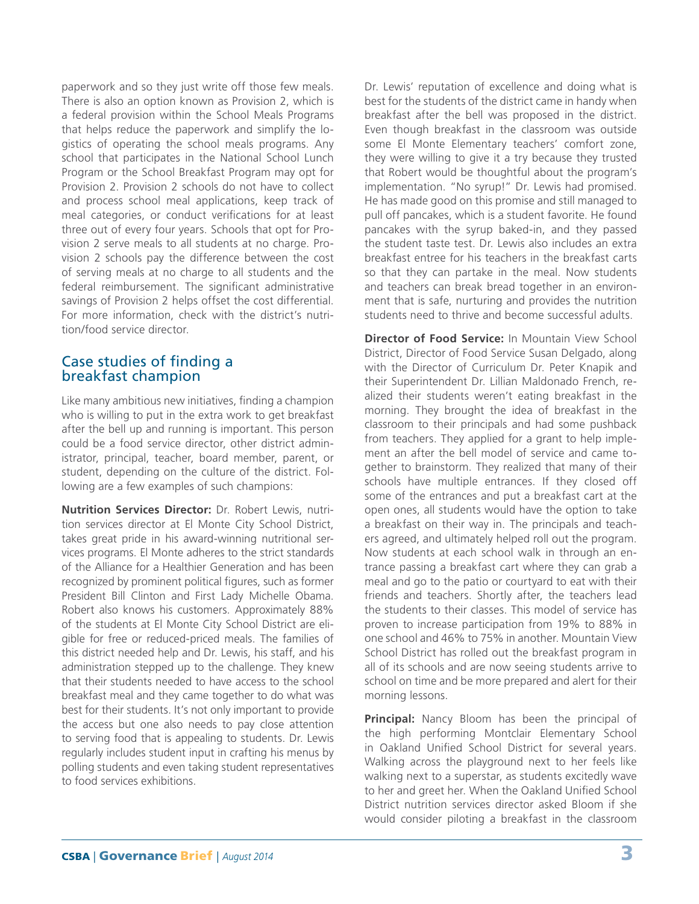paperwork and so they just write off those few meals. There is also an option known as Provision 2, which is a federal provision within the School Meals Programs that helps reduce the paperwork and simplify the logistics of operating the school meals programs. Any school that participates in the National School Lunch Program or the School Breakfast Program may opt for Provision 2. Provision 2 schools do not have to collect and process school meal applications, keep track of meal categories, or conduct verifications for at least three out of every four years. Schools that opt for Provision 2 serve meals to all students at no charge. Provision 2 schools pay the difference between the cost of serving meals at no charge to all students and the federal reimbursement. The significant administrative savings of Provision 2 helps offset the cost differential. For more information, check with the district's nutrition/food service director.

## Case studies of finding a breakfast champion

Like many ambitious new initiatives, finding a champion who is willing to put in the extra work to get breakfast after the bell up and running is important. This person could be a food service director, other district administrator, principal, teacher, board member, parent, or student, depending on the culture of the district. Following are a few examples of such champions:

**Nutrition Services Director:** Dr. Robert Lewis, nutrition services director at El Monte City School District, takes great pride in his award-winning nutritional services programs. El Monte adheres to the strict standards of the Alliance for a Healthier Generation and has been recognized by prominent political figures, such as former President Bill Clinton and First Lady Michelle Obama. Robert also knows his customers. Approximately 88% of the students at El Monte City School District are eligible for free or reduced-priced meals. The families of this district needed help and Dr. Lewis, his staff, and his administration stepped up to the challenge. They knew that their students needed to have access to the school breakfast meal and they came together to do what was best for their students. It's not only important to provide the access but one also needs to pay close attention to serving food that is appealing to students. Dr. Lewis regularly includes student input in crafting his menus by polling students and even taking student representatives to food services exhibitions.

Dr. Lewis' reputation of excellence and doing what is best for the students of the district came in handy when breakfast after the bell was proposed in the district. Even though breakfast in the classroom was outside some El Monte Elementary teachers' comfort zone, they were willing to give it a try because they trusted that Robert would be thoughtful about the program's implementation. "No syrup!" Dr. Lewis had promised. He has made good on this promise and still managed to pull off pancakes, which is a student favorite. He found pancakes with the syrup baked-in, and they passed the student taste test. Dr. Lewis also includes an extra breakfast entree for his teachers in the breakfast carts so that they can partake in the meal. Now students and teachers can break bread together in an environment that is safe, nurturing and provides the nutrition students need to thrive and become successful adults.

**Director of Food Service:** In Mountain View School District, Director of Food Service Susan Delgado, along with the Director of Curriculum Dr. Peter Knapik and their Superintendent Dr. Lillian Maldonado French, realized their students weren't eating breakfast in the morning. They brought the idea of breakfast in the classroom to their principals and had some pushback from teachers. They applied for a grant to help implement an after the bell model of service and came together to brainstorm. They realized that many of their schools have multiple entrances. If they closed off some of the entrances and put a breakfast cart at the open ones, all students would have the option to take a breakfast on their way in. The principals and teachers agreed, and ultimately helped roll out the program. Now students at each school walk in through an entrance passing a breakfast cart where they can grab a meal and go to the patio or courtyard to eat with their friends and teachers. Shortly after, the teachers lead the students to their classes. This model of service has proven to increase participation from 19% to 88% in one school and 46% to 75% in another. Mountain View School District has rolled out the breakfast program in all of its schools and are now seeing students arrive to school on time and be more prepared and alert for their morning lessons.

**Principal:** Nancy Bloom has been the principal of the high performing Montclair Elementary School in Oakland Unified School District for several years. Walking across the playground next to her feels like walking next to a superstar, as students excitedly wave to her and greet her. When the Oakland Unified School District nutrition services director asked Bloom if she would consider piloting a breakfast in the classroom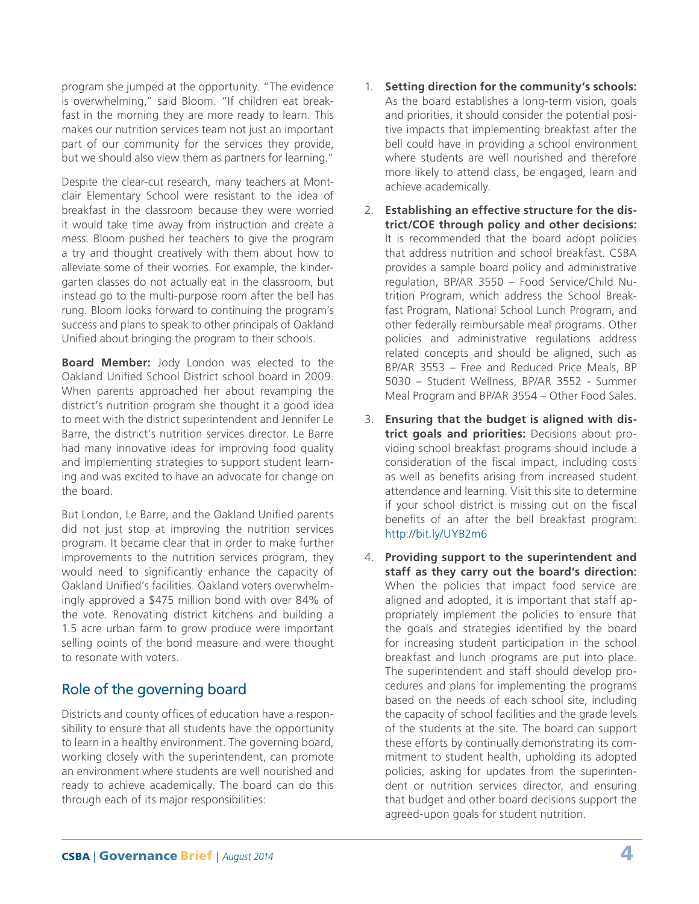program she jumped at the opportunity. "The evidence is overwhelming," said Bloom. "If children eat breakfast in the morning they are more ready to learn. This makes our nutrition services team not just an important part of our community for the services they provide, but we should also view them as partners for learning."

Despite the clear-cut research, many teachers at Montclair Elementary School were resistant to the idea of breakfast in the classroom because they were worried it would take time away from instruction and create a mess. Bloom pushed her teachers to give the program a try and thought creatively with them about how to alleviate some of their worries. For example, the kindergarten classes do not actually eat in the classroom, but instead go to the multi-purpose room after the bell has rung. Bloom looks forward to continuing the program's success and plans to speak to other principals of Oakland Unified about bringing the program to their schools.

**Board Member:** Jody London was elected to the Oakland Unified School District school board in 2009. When parents approached her about revamping the district's nutrition program she thought it a good idea to meet with the district superintendent and Jennifer Le Barre, the district's nutrition services director. Le Barre had many innovative ideas for improving food quality and implementing strategies to support student learning and was excited to have an advocate for change on the board.

But London, Le Barre, and the Oakland Unified parents did not just stop at improving the nutrition services program. It became clear that in order to make further improvements to the nutrition services program, they would need to significantly enhance the capacity of Oakland Unified's facilities. Oakland voters overwhelmingly approved a \$475 million bond with over 84% of the vote. Renovating district kitchens and building a 1.5 acre urban farm to grow produce were important selling points of the bond measure and were thought to resonate with voters.

## Role of the governing board

Districts and county offices of education have a responsibility to ensure that all students have the opportunity to learn in a healthy environment. The governing board, working closely with the superintendent, can promote an environment where students are well nourished and ready to achieve academically. The board can do this through each of its major responsibilities:

- 1. **Setting direction for the community's schools:** As the board establishes a long-term vision, goals and priorities, it should consider the potential positive impacts that implementing breakfast after the bell could have in providing a school environment where students are well nourished and therefore more likely to attend class, be engaged, learn and achieve academically.
- 2. **Establishing an effective structure for the district/COE through policy and other decisions:** It is recommended that the board adopt policies that address nutrition and school breakfast. CSBA provides a sample board policy and administrative regulation, BP/AR 3550 – Food Service/Child Nutrition Program, which address the School Breakfast Program, National School Lunch Program, and other federally reimbursable meal programs. Other policies and administrative regulations address related concepts and should be aligned, such as BP/AR 3553 – Free and Reduced Price Meals, BP 5030 – Student Wellness, BP/AR 3552 - Summer Meal Program and BP/AR 3554 – Other Food Sales.
- 3. **Ensuring that the budget is aligned with district goals and priorities:** Decisions about providing school breakfast programs should include a consideration of the fiscal impact, including costs as well as benefits arising from increased student attendance and learning. Visit this site to determine if your school district is missing out on the fiscal benefits of an after the bell breakfast program: http://bit.ly/UYB2m6
- 4. **Providing support to the superintendent and staff as they carry out the board's direction:** When the policies that impact food service are aligned and adopted, it is important that staff appropriately implement the policies to ensure that the goals and strategies identified by the board for increasing student participation in the school breakfast and lunch programs are put into place. The superintendent and staff should develop procedures and plans for implementing the programs based on the needs of each school site, including the capacity of school facilities and the grade levels of the students at the site. The board can support these efforts by continually demonstrating its commitment to student health, upholding its adopted policies, asking for updates from the superintendent or nutrition services director, and ensuring that budget and other board decisions support the agreed-upon goals for student nutrition.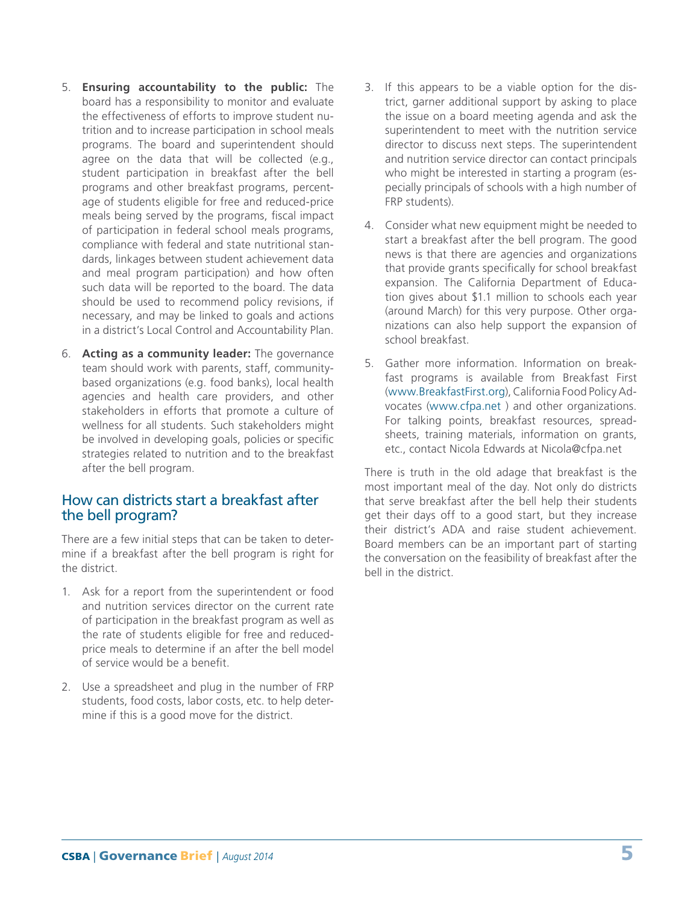- 5. **Ensuring accountability to the public:** The board has a responsibility to monitor and evaluate the effectiveness of efforts to improve student nutrition and to increase participation in school meals programs. The board and superintendent should agree on the data that will be collected (e.g., student participation in breakfast after the bell programs and other breakfast programs, percentage of students eligible for free and reduced-price meals being served by the programs, fiscal impact of participation in federal school meals programs, compliance with federal and state nutritional standards, linkages between student achievement data and meal program participation) and how often such data will be reported to the board. The data should be used to recommend policy revisions, if necessary, and may be linked to goals and actions in a district's Local Control and Accountability Plan.
- 6. **Acting as a community leader:** The governance team should work with parents, staff, communitybased organizations (e.g. food banks), local health agencies and health care providers, and other stakeholders in efforts that promote a culture of wellness for all students. Such stakeholders might be involved in developing goals, policies or specific strategies related to nutrition and to the breakfast after the bell program.

## How can districts start a breakfast after the bell program?

There are a few initial steps that can be taken to determine if a breakfast after the bell program is right for the district.

- 1. Ask for a report from the superintendent or food and nutrition services director on the current rate of participation in the breakfast program as well as the rate of students eligible for free and reducedprice meals to determine if an after the bell model of service would be a benefit.
- 2. Use a spreadsheet and plug in the number of FRP students, food costs, labor costs, etc. to help determine if this is a good move for the district.
- 3. If this appears to be a viable option for the district, garner additional support by asking to place the issue on a board meeting agenda and ask the superintendent to meet with the nutrition service director to discuss next steps. The superintendent and nutrition service director can contact principals who might be interested in starting a program (especially principals of schools with a high number of FRP students).
- 4. Consider what new equipment might be needed to start a breakfast after the bell program. The good news is that there are agencies and organizations that provide grants specifically for school breakfast expansion. The California Department of Education gives about \$1.1 million to schools each year (around March) for this very purpose. Other organizations can also help support the expansion of school breakfast.
- 5. Gather more information. Information on breakfast programs is available from Breakfast First (www.BreakfastFirst.org), California Food Policy Advocates (www.cfpa.net ) and other organizations. For talking points, breakfast resources, spreadsheets, training materials, information on grants, etc., contact Nicola Edwards at Nicola@cfpa.net

There is truth in the old adage that breakfast is the most important meal of the day. Not only do districts that serve breakfast after the bell help their students get their days off to a good start, but they increase their district's ADA and raise student achievement. Board members can be an important part of starting the conversation on the feasibility of breakfast after the bell in the district.